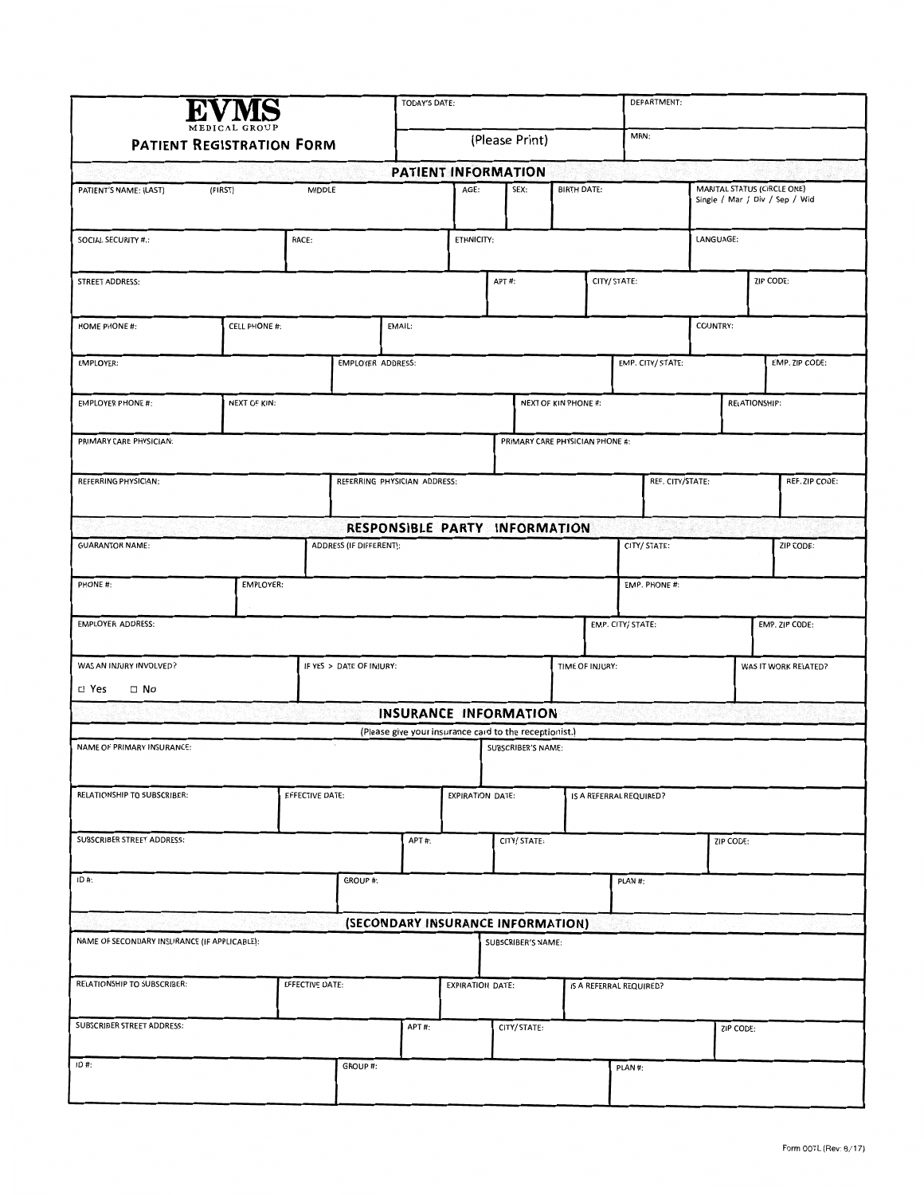| <b>PATIENT REGISTRATION FORM</b>                   |  |                                 |                                   | <b>TODAY'S DATE:</b><br>(Please Print) |                                                        |                         |                           |                    |                                         | DEPARTMENT:<br>MRN: |                                                               |                |           |                |  |
|----------------------------------------------------|--|---------------------------------|-----------------------------------|----------------------------------------|--------------------------------------------------------|-------------------------|---------------------------|--------------------|-----------------------------------------|---------------------|---------------------------------------------------------------|----------------|-----------|----------------|--|
|                                                    |  |                                 |                                   |                                        |                                                        |                         |                           |                    |                                         |                     |                                                               |                |           |                |  |
|                                                    |  |                                 |                                   |                                        | PATIENT INFORMATION                                    |                         |                           |                    |                                         |                     |                                                               |                |           |                |  |
| (FIRST)<br><b>MIDDLE</b><br>PATIENT'S NAME: (LAST) |  |                                 |                                   | AGE:                                   | SEX:                                                   |                         |                           | <b>BIRTH DATE:</b> |                                         |                     | MARITAL STATUS (CIRCLE ONE)<br>Single / Mar / Div / Sep / Wid |                |           |                |  |
| RACE:<br><b>SOCIAL SECURITY #.:</b>                |  |                                 |                                   |                                        |                                                        | ETHNICITY:              |                           |                    |                                         |                     |                                                               | LANGUAGE:      |           |                |  |
| STREET ADDRESS:                                    |  |                                 |                                   |                                        |                                                        | APT#:                   |                           |                    | CITY/ STATE:                            |                     |                                                               |                | ZIP CODE: |                |  |
| <b>CELL PHONE #:</b><br>HOME PHONE #:              |  |                                 | EMAIL:                            |                                        |                                                        |                         |                           |                    |                                         |                     |                                                               | COUNTRY:       |           |                |  |
| EMPLOYER:                                          |  | <b>EMPLOYER ADDRESS:</b>        |                                   |                                        |                                                        |                         |                           |                    |                                         | EMP. CITY/ STATE:   |                                                               | EMP. ZIP CODE: |           |                |  |
| NEXT OF KIN:<br><b>EMPLOYER PHONE #:</b>           |  |                                 | <b>NEXT OF KIN PHONE #:</b>       |                                        |                                                        |                         |                           |                    |                                         |                     |                                                               | RELATIONSHIP:  |           |                |  |
| PRIMARY CARE PHYSICIAN:                            |  | PRIMARY CARE PHYSICIAN PHONE #: |                                   |                                        |                                                        |                         |                           |                    |                                         |                     |                                                               |                |           |                |  |
| REFERRING PHYSICIAN:                               |  |                                 | REFERRING PHYSICIAN ADDRESS:      |                                        |                                                        |                         |                           |                    | REF. CITY/STATE:                        |                     |                                                               |                |           | REF. ZIP CODE: |  |
|                                                    |  |                                 | RESPONSIBLE PARTY INFORMATION     |                                        |                                                        |                         |                           |                    |                                         |                     |                                                               |                |           |                |  |
| ADDRESS (IF DIFFERENT):<br><b>GUARANTOR NAME:</b>  |  |                                 |                                   |                                        |                                                        |                         |                           |                    |                                         | CITY/ STATE:        |                                                               |                |           | ZIP CODE:      |  |
| PHONE #:                                           |  |                                 |                                   |                                        |                                                        |                         |                           | EMP. PHONE #:      |                                         |                     |                                                               |                |           |                |  |
| <b>EMPLOYER ADDRESS:</b>                           |  |                                 |                                   |                                        |                                                        |                         | EMP. CITY/ STATE:         |                    |                                         |                     |                                                               | EMP. ZIP CODE: |           |                |  |
| WAS AN INJURY INVOLVED?                            |  |                                 | IF YES > DATE OF INJURY:          |                                        |                                                        |                         |                           |                    | TIME OF INJURY:<br>WAS IT WORK RELATED? |                     |                                                               |                |           |                |  |
| □ Yes<br>$\square$ No                              |  |                                 |                                   |                                        | <b>INSURANCE INFORMATION</b>                           |                         |                           |                    |                                         |                     |                                                               |                |           |                |  |
|                                                    |  |                                 |                                   |                                        | (Please give your insurance card to the receptionist.) |                         |                           |                    |                                         |                     |                                                               |                |           |                |  |
| NAME OF PRIMARY INSURANCE:                         |  |                                 |                                   |                                        |                                                        |                         | <b>SUBSCRIBER'S NAME:</b> |                    |                                         |                     |                                                               |                |           |                |  |
| RELATIONSHIP TO SUBSCRIBER:<br>EFFECTIVE DATE:     |  |                                 |                                   |                                        | <b>EXPIRATION DATE:</b>                                |                         |                           |                    | IS A REFERRAL REQUIRED?                 |                     |                                                               |                |           |                |  |
| SUBSCRIBER STREET ADDRESS:                         |  |                                 |                                   |                                        | CITY/ STATE:                                           |                         |                           |                    |                                         |                     | ZIP CODE:                                                     |                |           |                |  |
| $ID#$ :                                            |  |                                 | GROUP #:                          |                                        |                                                        |                         |                           | PLAN #:            |                                         |                     |                                                               |                |           |                |  |
|                                                    |  |                                 | (SECONDARY INSURANCE INFORMATION) |                                        |                                                        |                         |                           |                    |                                         |                     |                                                               |                |           |                |  |
| NAME OF SECONDARY INSURANCE (IF APPLICABLE):       |  |                                 |                                   |                                        |                                                        |                         | SUBSCRIBER'S NAME:        |                    |                                         |                     |                                                               |                |           |                |  |
| RELATIONSHIP TO SUBSCRIBER:                        |  |                                 | EFFECTIVE DATE:                   |                                        |                                                        | <b>EXPIRATION DATE:</b> |                           |                    | IS A REFERRAL REQUIRED?                 |                     |                                                               |                |           |                |  |
| SUBSCRIBER STREET ADDRESS:                         |  |                                 |                                   | APT#:                                  |                                                        |                         | CITY/ STATE:              |                    |                                         |                     |                                                               | ZIP CODE:      |           |                |  |
| $ID#$ :                                            |  |                                 | GROUP #:                          |                                        |                                                        |                         |                           |                    | PLAN #:                                 |                     |                                                               |                |           |                |  |